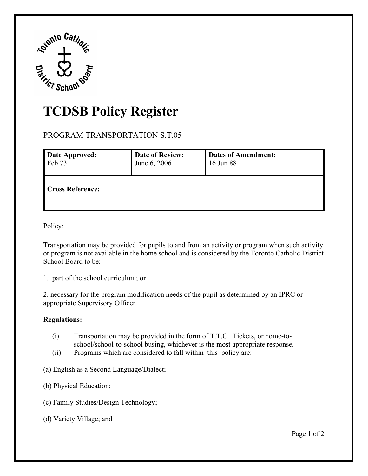

## **TCDSB Policy Register**

PROGRAM TRANSPORTATION S.T.05

| <b>Date Approved:</b>   | <b>Date of Review:</b> | <b>Dates of Amendment:</b> |
|-------------------------|------------------------|----------------------------|
| Feb 73                  | June 6, 2006           | 16 Jun 88                  |
| <b>Cross Reference:</b> |                        |                            |

Policy:

Policy:<br>Transportation may be provided for pupils to and from an activity or program when such activity or program is not available in the home school and is considered by the Toronto Catholic District School Board to be:

1. part of the school curriculum; or

 appropriate Supervisory Officer. 2. necessary for the program modification needs of the pupil as determined by an IPRC or

## **Regulations:**

- (i) Transportation may be provided in the form of T.T.C. Tickets, or home-toschool/school-to-school busing, whichever is the most appropriate response.<br>(ii) Programs which are considered to fall within this policy are:
- Programs which are considered to fall within this policy are:
- (a) English as a Second Language/Dialect;
- (b) Physical Education;
- (c) Family Studies/Design Technology; (a) English as a Second Language/Dialect; (b) Physical Education; (c) Family Studies/Design Technology; (d) Variety Village; and Page 1 of 2
- (d) Variety Village; and